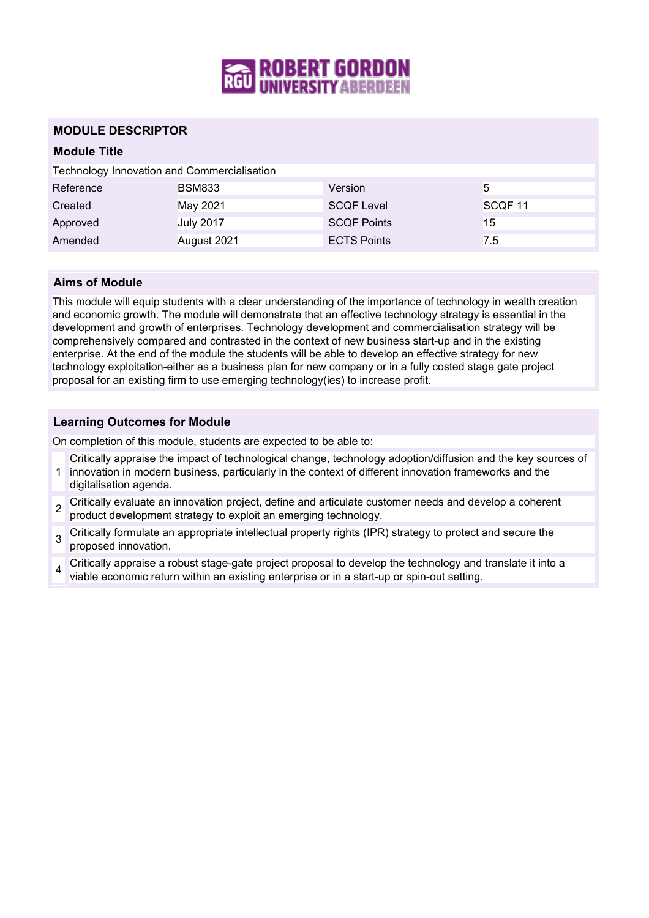

# **MODULE DESCRIPTOR**

# **Module Title**

|  |  |  | <b>Technology Innovation and Commercialisation</b> |
|--|--|--|----------------------------------------------------|
|--|--|--|----------------------------------------------------|

| Reference | <b>BSM833</b>    | Version            | 5                  |
|-----------|------------------|--------------------|--------------------|
| Created   | May 2021         | <b>SCQF Level</b>  | SCQF <sub>11</sub> |
| Approved  | <b>July 2017</b> | <b>SCQF Points</b> | 15                 |
| Amended   | August 2021      | <b>ECTS Points</b> | 7.5                |

### **Aims of Module**

This module will equip students with a clear understanding of the importance of technology in wealth creation and economic growth. The module will demonstrate that an effective technology strategy is essential in the development and growth of enterprises. Technology development and commercialisation strategy will be comprehensively compared and contrasted in the context of new business start-up and in the existing enterprise. At the end of the module the students will be able to develop an effective strategy for new technology exploitation-either as a business plan for new company or in a fully costed stage gate project proposal for an existing firm to use emerging technology(ies) to increase profit.

### **Learning Outcomes for Module**

On completion of this module, students are expected to be able to:

- 1 innovation in modern business, particularly in the context of different innovation frameworks and the Critically appraise the impact of technological change, technology adoption/diffusion and the key sources of
- digitalisation agenda.
- $\overline{2}$ Critically evaluate an innovation project, define and articulate customer needs and develop a coherent product development strategy to exploit an emerging technology.
- 3 Critically formulate an appropriate intellectual property rights (IPR) strategy to protect and secure the proposed innovation.
- 4 Critically appraise a robust stage-gate project proposal to develop the technology and translate it into a viable economic return within an existing enterprise or in a start-up or spin-out setting.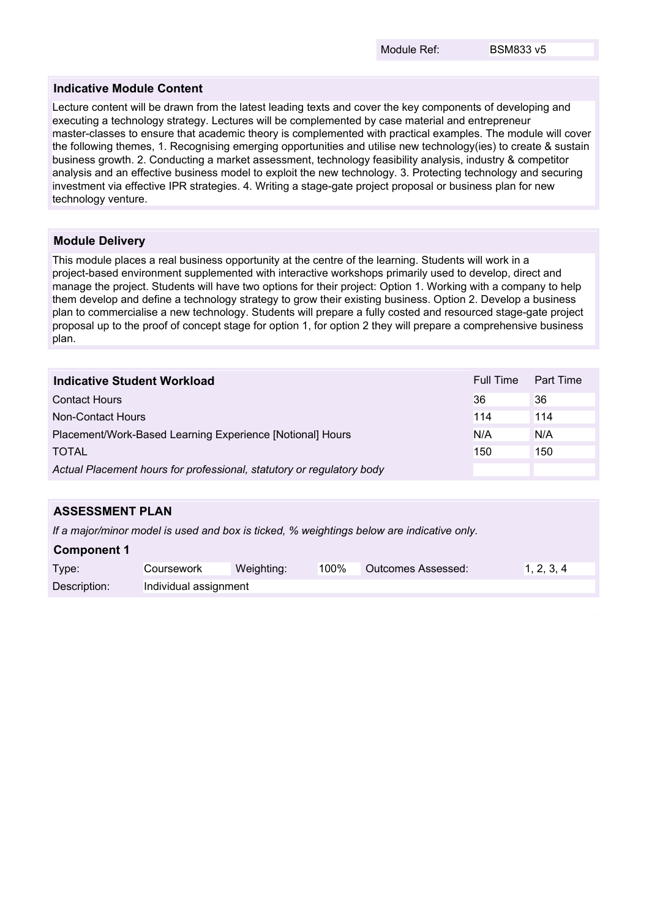#### **Indicative Module Content**

Lecture content will be drawn from the latest leading texts and cover the key components of developing and executing a technology strategy. Lectures will be complemented by case material and entrepreneur master-classes to ensure that academic theory is complemented with practical examples. The module will cover the following themes, 1. Recognising emerging opportunities and utilise new technology(ies) to create & sustain business growth. 2. Conducting a market assessment, technology feasibility analysis, industry & competitor analysis and an effective business model to exploit the new technology. 3. Protecting technology and securing investment via effective IPR strategies. 4. Writing a stage-gate project proposal or business plan for new technology venture.

#### **Module Delivery**

This module places a real business opportunity at the centre of the learning. Students will work in a project-based environment supplemented with interactive workshops primarily used to develop, direct and manage the project. Students will have two options for their project: Option 1. Working with a company to help them develop and define a technology strategy to grow their existing business. Option 2. Develop a business plan to commercialise a new technology. Students will prepare a fully costed and resourced stage-gate project proposal up to the proof of concept stage for option 1, for option 2 they will prepare a comprehensive business plan.

| Indicative Student Workload                                           | Full Time | Part Time |
|-----------------------------------------------------------------------|-----------|-----------|
| <b>Contact Hours</b>                                                  | 36        | 36        |
| Non-Contact Hours                                                     | 114       | 114       |
| Placement/Work-Based Learning Experience [Notional] Hours             | N/A       | N/A       |
| <b>TOTAL</b>                                                          | 150       | 150       |
| Actual Placement hours for professional, statutory or regulatory body |           |           |

# **ASSESSMENT PLAN**

*If a major/minor model is used and box is ticked, % weightings below are indicative only.*

#### **Component 1**

| Type:        | Coursework            | Weighting: | 100% | Outcomes Assessed: | 1, 2, 3, 4 |
|--------------|-----------------------|------------|------|--------------------|------------|
| Description: | Individual assignment |            |      |                    |            |